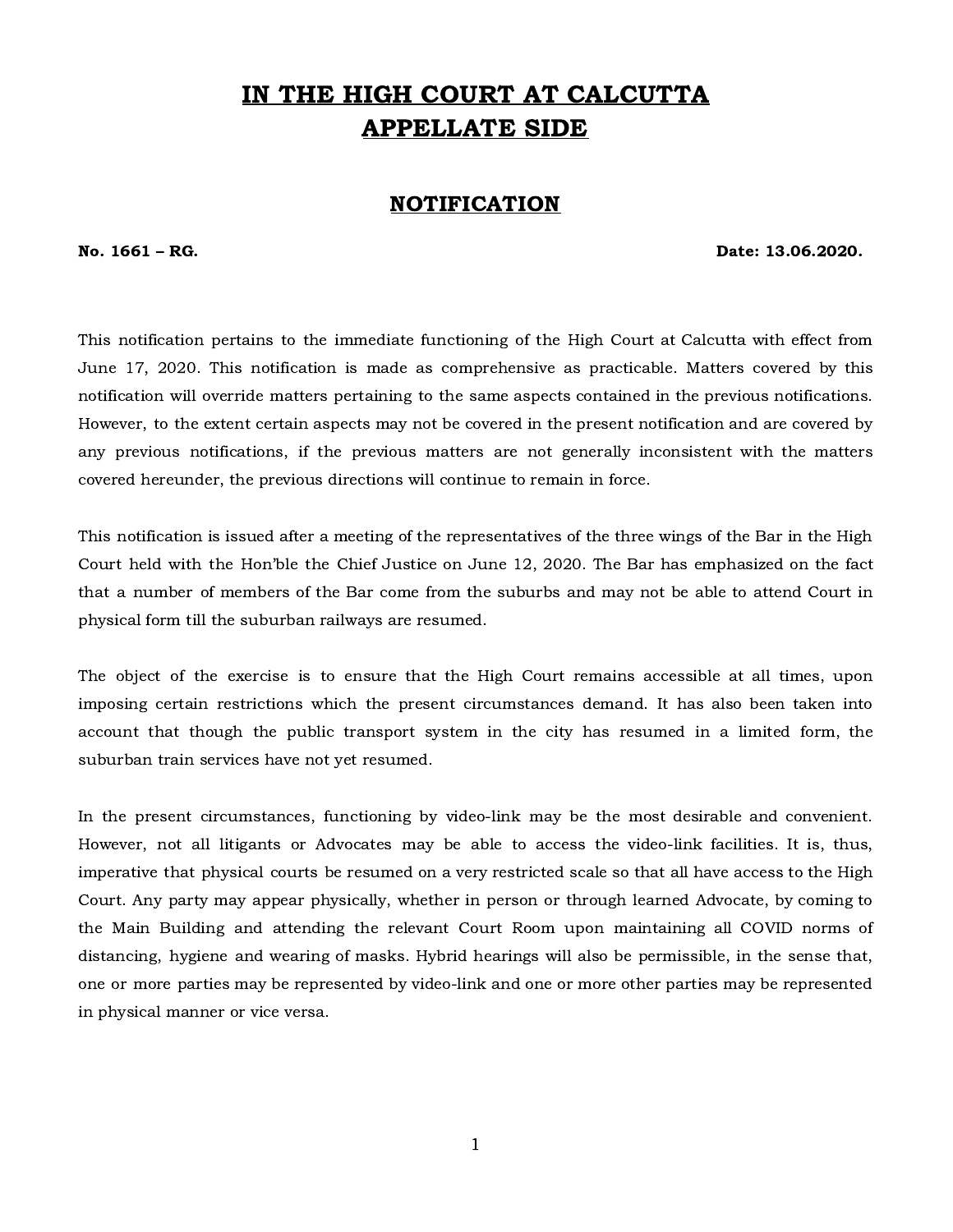# IN THE HIGH COURT AT CALCUTTA APPELLATE SIDE

# NOTIFICATION

No. 1661 – RG. Date: 13.06.2020.

This notification pertains to the immediate functioning of the High Court at Calcutta with effect from June 17, 2020. This notification is made as comprehensive as practicable. Matters covered by this notification will override matters pertaining to the same aspects contained in the previous notifications. However, to the extent certain aspects may not be covered in the present notification and are covered by any previous notifications, if the previous matters are not generally inconsistent with the matters covered hereunder, the previous directions will continue to remain in force.

This notification is issued after a meeting of the representatives of the three wings of the Bar in the High Court held with the Hon'ble the Chief Justice on June 12, 2020. The Bar has emphasized on the fact that a number of members of the Bar come from the suburbs and may not be able to attend Court in physical form till the suburban railways are resumed.

The object of the exercise is to ensure that the High Court remains accessible at all times, upon imposing certain restrictions which the present circumstances demand. It has also been taken into account that though the public transport system in the city has resumed in a limited form, the suburban train services have not yet resumed.

In the present circumstances, functioning by video-link may be the most desirable and convenient. However, not all litigants or Advocates may be able to access the video-link facilities. It is, thus, imperative that physical courts be resumed on a very restricted scale so that all have access to the High Court. Any party may appear physically, whether in person or through learned Advocate, by coming to the Main Building and attending the relevant Court Room upon maintaining all COVID norms of distancing, hygiene and wearing of masks. Hybrid hearings will also be permissible, in the sense that, one or more parties may be represented by video-link and one or more other parties may be represented in physical manner or vice versa.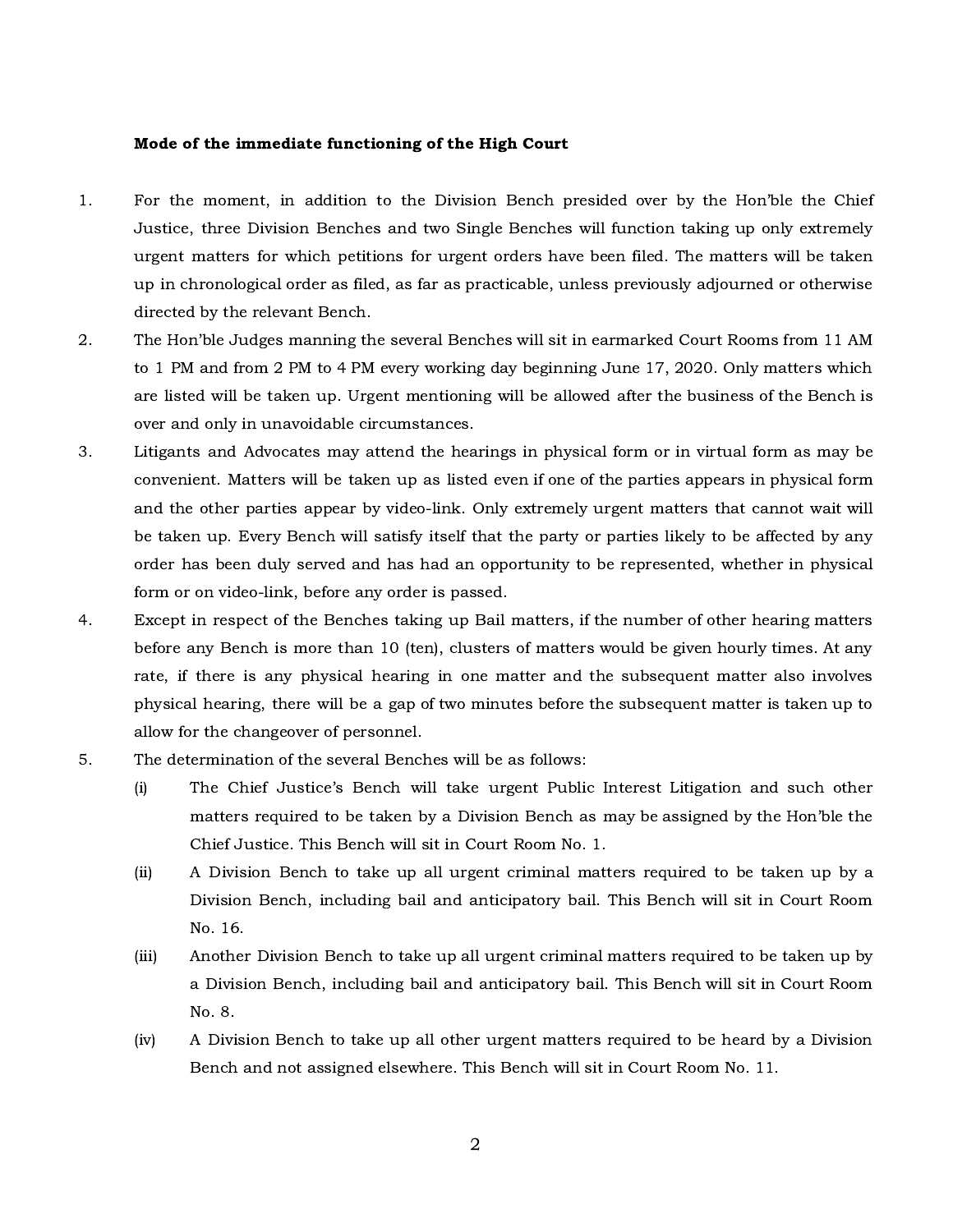## Mode of the immediate functioning of the High Court

- 1. For the moment, in addition to the Division Bench presided over by the Hon'ble the Chief Justice, three Division Benches and two Single Benches will function taking up only extremely urgent matters for which petitions for urgent orders have been filed. The matters will be taken up in chronological order as filed, as far as practicable, unless previously adjourned or otherwise directed by the relevant Bench.
- 2. The Hon'ble Judges manning the several Benches will sit in earmarked Court Rooms from 11 AM to 1 PM and from 2 PM to 4 PM every working day beginning June 17, 2020. Only matters which are listed will be taken up. Urgent mentioning will be allowed after the business of the Bench is over and only in unavoidable circumstances.
- 3. Litigants and Advocates may attend the hearings in physical form or in virtual form as may be convenient. Matters will be taken up as listed even if one of the parties appears in physical form and the other parties appear by video-link. Only extremely urgent matters that cannot wait will be taken up. Every Bench will satisfy itself that the party or parties likely to be affected by any order has been duly served and has had an opportunity to be represented, whether in physical form or on video-link, before any order is passed.
- 4. Except in respect of the Benches taking up Bail matters, if the number of other hearing matters before any Bench is more than 10 (ten), clusters of matters would be given hourly times. At any rate, if there is any physical hearing in one matter and the subsequent matter also involves physical hearing, there will be a gap of two minutes before the subsequent matter is taken up to allow for the changeover of personnel.
- 5. The determination of the several Benches will be as follows:
	- (i) The Chief Justice's Bench will take urgent Public Interest Litigation and such other matters required to be taken by a Division Bench as may be assigned by the Hon'ble the Chief Justice. This Bench will sit in Court Room No. 1.
	- (ii) A Division Bench to take up all urgent criminal matters required to be taken up by a Division Bench, including bail and anticipatory bail. This Bench will sit in Court Room No. 16.
	- (iii) Another Division Bench to take up all urgent criminal matters required to be taken up by a Division Bench, including bail and anticipatory bail. This Bench will sit in Court Room No. 8.
	- (iv) A Division Bench to take up all other urgent matters required to be heard by a Division Bench and not assigned elsewhere. This Bench will sit in Court Room No. 11.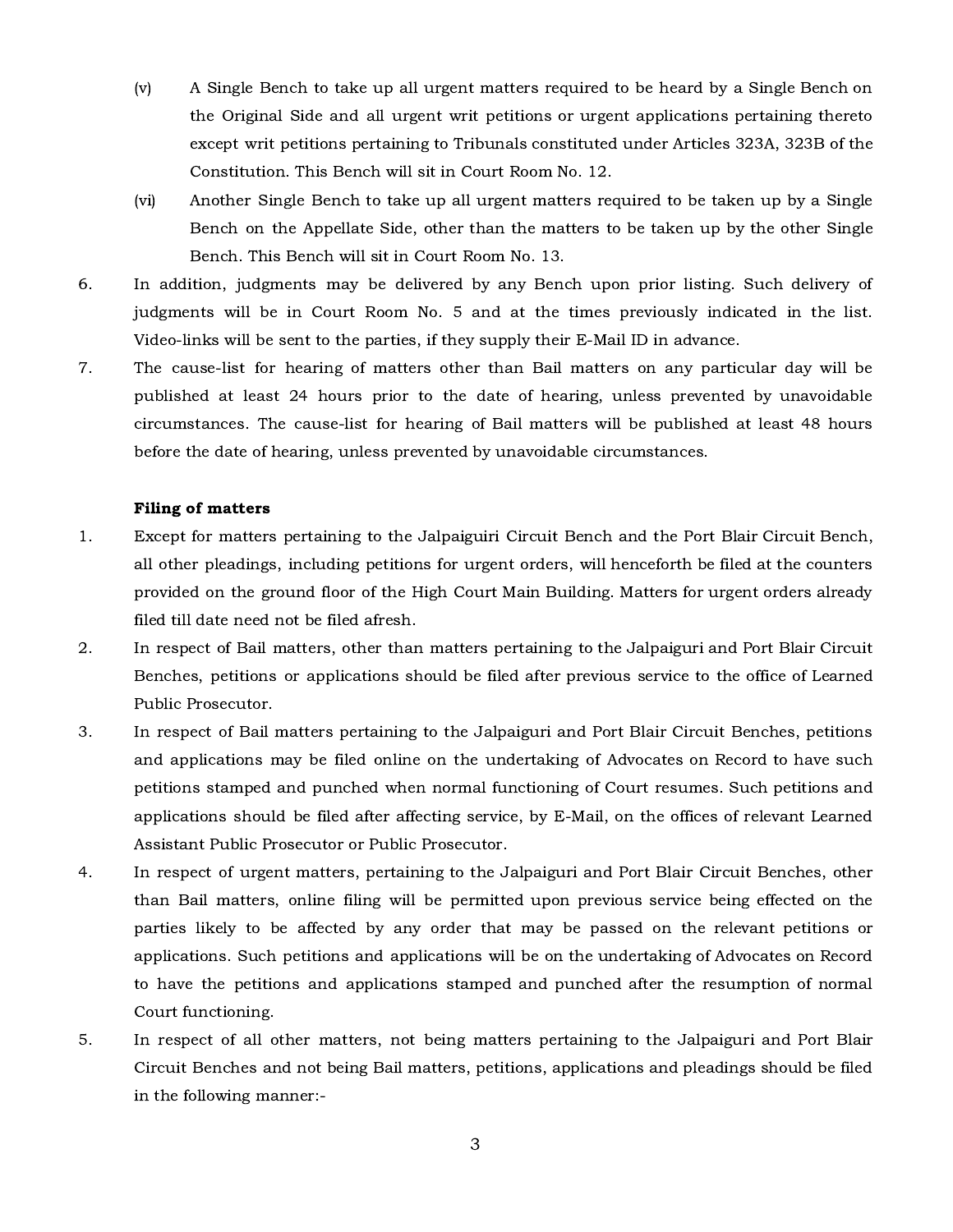- (v) A Single Bench to take up all urgent matters required to be heard by a Single Bench on the Original Side and all urgent writ petitions or urgent applications pertaining thereto except writ petitions pertaining to Tribunals constituted under Articles 323A, 323B of the Constitution. This Bench will sit in Court Room No. 12.
- (vi) Another Single Bench to take up all urgent matters required to be taken up by a Single Bench on the Appellate Side, other than the matters to be taken up by the other Single Bench. This Bench will sit in Court Room No. 13.
- 6. In addition, judgments may be delivered by any Bench upon prior listing. Such delivery of judgments will be in Court Room No. 5 and at the times previously indicated in the list. Video-links will be sent to the parties, if they supply their E-Mail ID in advance.
- 7. The cause-list for hearing of matters other than Bail matters on any particular day will be published at least 24 hours prior to the date of hearing, unless prevented by unavoidable circumstances. The cause-list for hearing of Bail matters will be published at least 48 hours before the date of hearing, unless prevented by unavoidable circumstances.

# Filing of matters

- 1. Except for matters pertaining to the Jalpaiguiri Circuit Bench and the Port Blair Circuit Bench, all other pleadings, including petitions for urgent orders, will henceforth be filed at the counters provided on the ground floor of the High Court Main Building. Matters for urgent orders already filed till date need not be filed afresh.
- 2. In respect of Bail matters, other than matters pertaining to the Jalpaiguri and Port Blair Circuit Benches, petitions or applications should be filed after previous service to the office of Learned Public Prosecutor.
- 3. In respect of Bail matters pertaining to the Jalpaiguri and Port Blair Circuit Benches, petitions and applications may be filed online on the undertaking of Advocates on Record to have such petitions stamped and punched when normal functioning of Court resumes. Such petitions and applications should be filed after affecting service, by E-Mail, on the offices of relevant Learned Assistant Public Prosecutor or Public Prosecutor.
- 4. In respect of urgent matters, pertaining to the Jalpaiguri and Port Blair Circuit Benches, other than Bail matters, online filing will be permitted upon previous service being effected on the parties likely to be affected by any order that may be passed on the relevant petitions or applications. Such petitions and applications will be on the undertaking of Advocates on Record to have the petitions and applications stamped and punched after the resumption of normal Court functioning.
- 5. In respect of all other matters, not being matters pertaining to the Jalpaiguri and Port Blair Circuit Benches and not being Bail matters, petitions, applications and pleadings should be filed in the following manner:-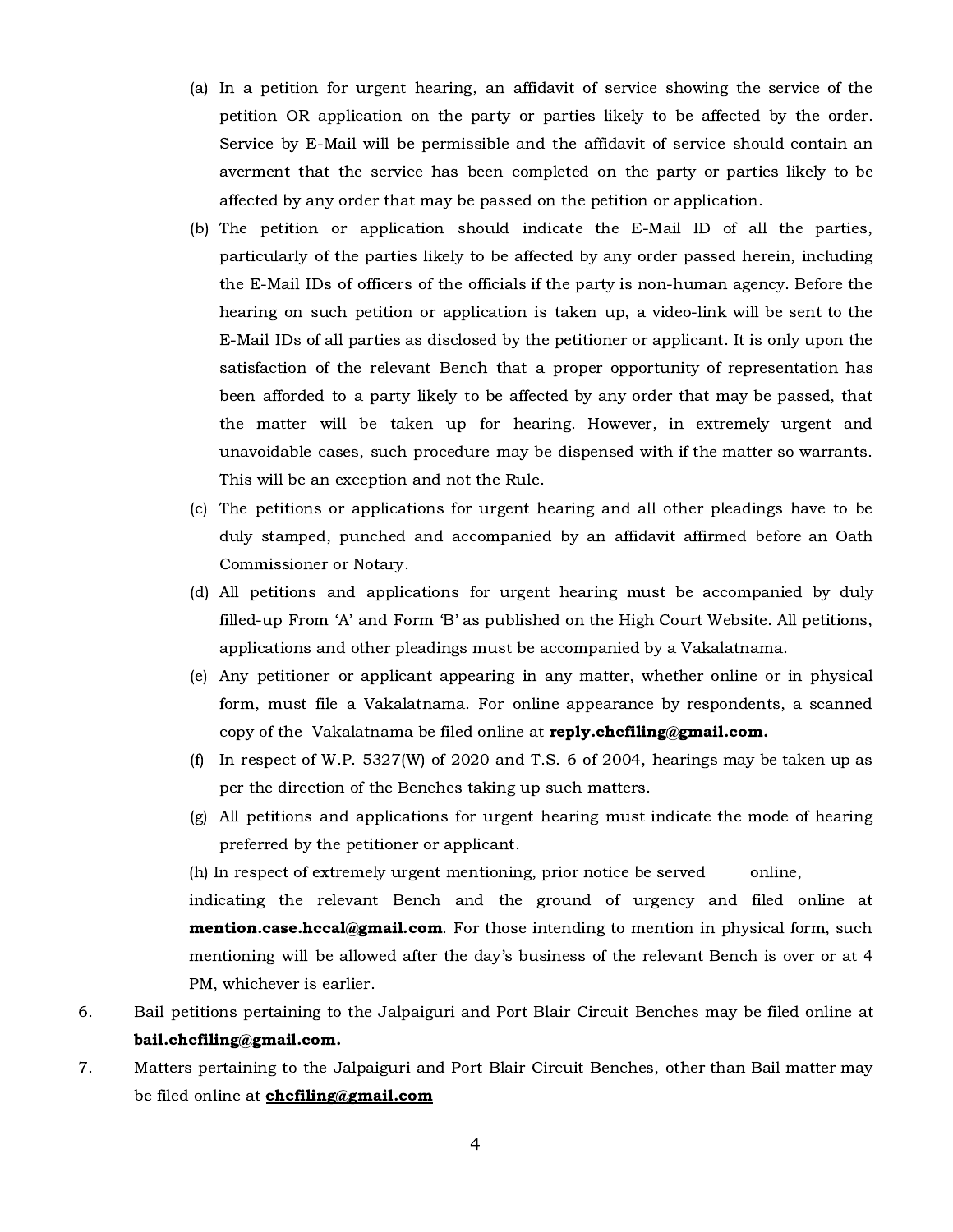- (a) In a petition for urgent hearing, an affidavit of service showing the service of the petition OR application on the party or parties likely to be affected by the order. Service by E-Mail will be permissible and the affidavit of service should contain an averment that the service has been completed on the party or parties likely to be affected by any order that may be passed on the petition or application.
- (b) The petition or application should indicate the E-Mail ID of all the parties, particularly of the parties likely to be affected by any order passed herein, including the E-Mail IDs of officers of the officials if the party is non-human agency. Before the hearing on such petition or application is taken up, a video-link will be sent to the E-Mail IDs of all parties as disclosed by the petitioner or applicant. It is only upon the satisfaction of the relevant Bench that a proper opportunity of representation has been afforded to a party likely to be affected by any order that may be passed, that the matter will be taken up for hearing. However, in extremely urgent and unavoidable cases, such procedure may be dispensed with if the matter so warrants. This will be an exception and not the Rule.
- (c) The petitions or applications for urgent hearing and all other pleadings have to be duly stamped, punched and accompanied by an affidavit affirmed before an Oath Commissioner or Notary.
- (d) All petitions and applications for urgent hearing must be accompanied by duly filled-up From 'A' and Form 'B' as published on the High Court Website. All petitions, applications and other pleadings must be accompanied by a Vakalatnama.
- (e) Any petitioner or applicant appearing in any matter, whether online or in physical form, must file a Vakalatnama. For online appearance by respondents, a scanned copy of the Vakalatnama be filed online at reply.chcfiling@gmail.com.
- (f) In respect of W.P. 5327(W) of 2020 and T.S. 6 of 2004, hearings may be taken up as per the direction of the Benches taking up such matters.
- (g) All petitions and applications for urgent hearing must indicate the mode of hearing preferred by the petitioner or applicant.

(h) In respect of extremely urgent mentioning, prior notice be served online,

indicating the relevant Bench and the ground of urgency and filed online at **mention.case.hccal@gmail.com**. For those intending to mention in physical form, such mentioning will be allowed after the day's business of the relevant Bench is over or at 4 PM, whichever is earlier.

- 6. Bail petitions pertaining to the Jalpaiguri and Port Blair Circuit Benches may be filed online at bail.chcfiling@gmail.com.
- 7. Matters pertaining to the Jalpaiguri and Port Blair Circuit Benches, other than Bail matter may be filed online at **[chcfiling@gmail.com](mailto:chcfiling@gmail.com)**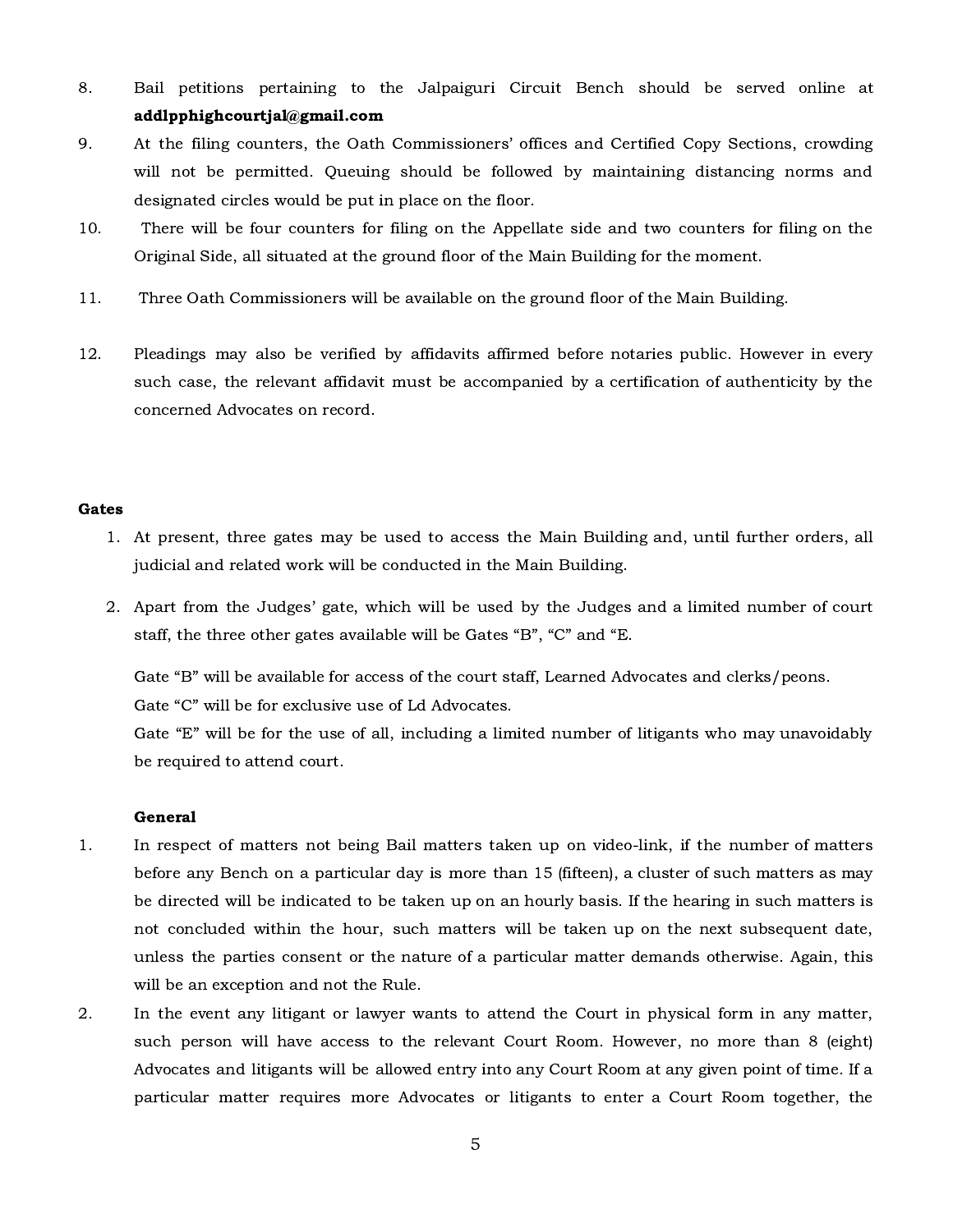- 8. Bail petitions pertaining to the Jalpaiguri Circuit Bench should be served online at addlpphighcourtjal@gmail.com
- 9. At the filing counters, the Oath Commissioners' offices and Certified Copy Sections, crowding will not be permitted. Queuing should be followed by maintaining distancing norms and designated circles would be put in place on the floor.
- 10. There will be four counters for filing on the Appellate side and two counters for filing on the Original Side, all situated at the ground floor of the Main Building for the moment.
- 11. Three Oath Commissioners will be available on the ground floor of the Main Building.
- 12. Pleadings may also be verified by affidavits affirmed before notaries public. However in every such case, the relevant affidavit must be accompanied by a certification of authenticity by the concerned Advocates on record.

### Gates

- 1. At present, three gates may be used to access the Main Building and, until further orders, all judicial and related work will be conducted in the Main Building.
- 2. Apart from the Judges' gate, which will be used by the Judges and a limited number of court staff, the three other gates available will be Gates "B", "C" and "E.

Gate "B" will be available for access of the court staff, Learned Advocates and clerks/peons. Gate "C" will be for exclusive use of Ld Advocates.

Gate "E" will be for the use of all, including a limited number of litigants who may unavoidably be required to attend court.

### General

- 1. In respect of matters not being Bail matters taken up on video-link, if the number of matters before any Bench on a particular day is more than 15 (fifteen), a cluster of such matters as may be directed will be indicated to be taken up on an hourly basis. If the hearing in such matters is not concluded within the hour, such matters will be taken up on the next subsequent date, unless the parties consent or the nature of a particular matter demands otherwise. Again, this will be an exception and not the Rule.
- 2. In the event any litigant or lawyer wants to attend the Court in physical form in any matter, such person will have access to the relevant Court Room. However, no more than 8 (eight) Advocates and litigants will be allowed entry into any Court Room at any given point of time. If a particular matter requires more Advocates or litigants to enter a Court Room together, the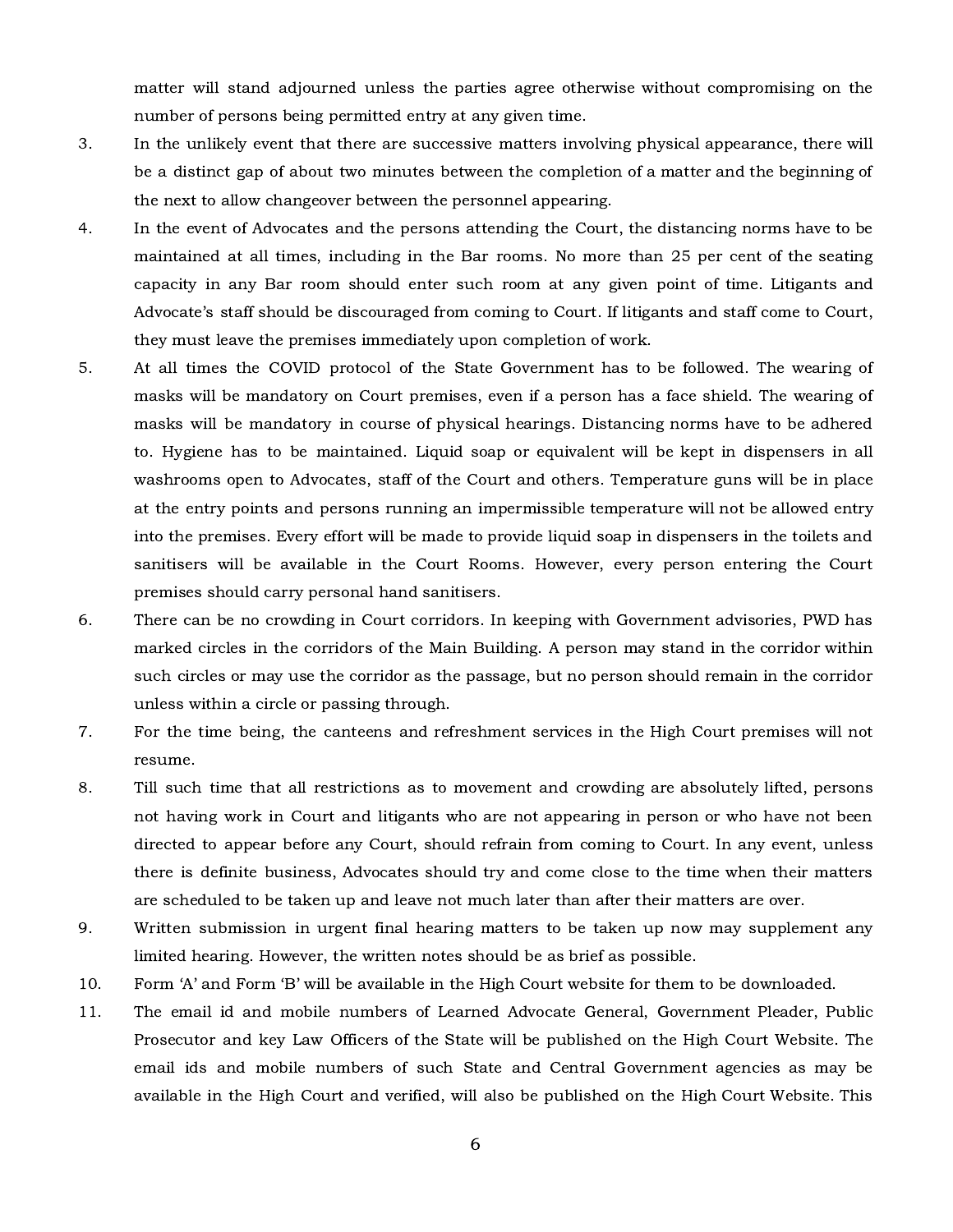matter will stand adjourned unless the parties agree otherwise without compromising on the number of persons being permitted entry at any given time.

- 3. In the unlikely event that there are successive matters involving physical appearance, there will be a distinct gap of about two minutes between the completion of a matter and the beginning of the next to allow changeover between the personnel appearing.
- 4. In the event of Advocates and the persons attending the Court, the distancing norms have to be maintained at all times, including in the Bar rooms. No more than 25 per cent of the seating capacity in any Bar room should enter such room at any given point of time. Litigants and Advocate's staff should be discouraged from coming to Court. If litigants and staff come to Court, they must leave the premises immediately upon completion of work.
- 5. At all times the COVID protocol of the State Government has to be followed. The wearing of masks will be mandatory on Court premises, even if a person has a face shield. The wearing of masks will be mandatory in course of physical hearings. Distancing norms have to be adhered to. Hygiene has to be maintained. Liquid soap or equivalent will be kept in dispensers in all washrooms open to Advocates, staff of the Court and others. Temperature guns will be in place at the entry points and persons running an impermissible temperature will not be allowed entry into the premises. Every effort will be made to provide liquid soap in dispensers in the toilets and sanitisers will be available in the Court Rooms. However, every person entering the Court premises should carry personal hand sanitisers.
- 6. There can be no crowding in Court corridors. In keeping with Government advisories, PWD has marked circles in the corridors of the Main Building. A person may stand in the corridor within such circles or may use the corridor as the passage, but no person should remain in the corridor unless within a circle or passing through.
- 7. For the time being, the canteens and refreshment services in the High Court premises will not resume.
- 8. Till such time that all restrictions as to movement and crowding are absolutely lifted, persons not having work in Court and litigants who are not appearing in person or who have not been directed to appear before any Court, should refrain from coming to Court. In any event, unless there is definite business, Advocates should try and come close to the time when their matters are scheduled to be taken up and leave not much later than after their matters are over.
- 9. Written submission in urgent final hearing matters to be taken up now may supplement any limited hearing. However, the written notes should be as brief as possible.
- 10. Form 'A' and Form 'B' will be available in the High Court website for them to be downloaded.
- 11. The email id and mobile numbers of Learned Advocate General, Government Pleader, Public Prosecutor and key Law Officers of the State will be published on the High Court Website. The email ids and mobile numbers of such State and Central Government agencies as may be available in the High Court and verified, will also be published on the High Court Website. This